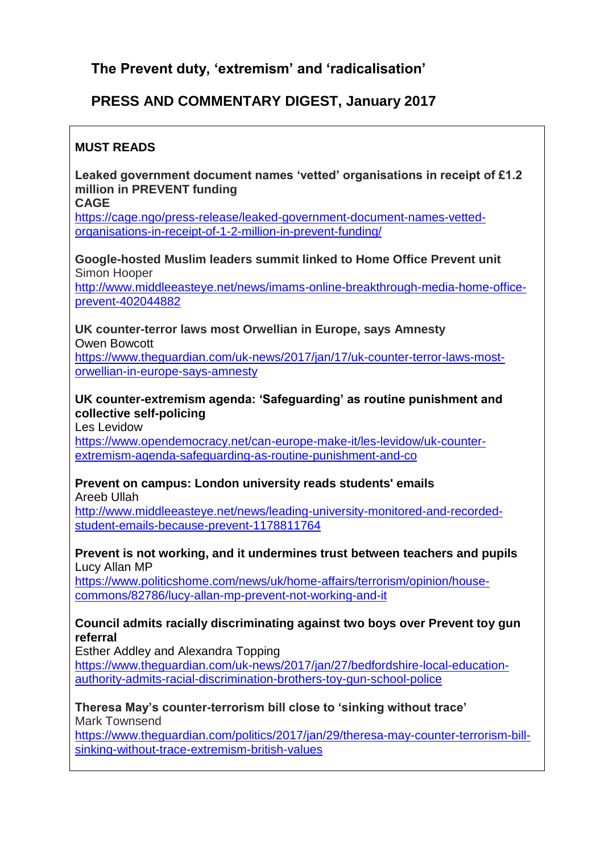# **The Prevent duty, 'extremism' and 'radicalisation'**

# **PRESS AND COMMENTARY DIGEST, January 2017**

### **MUST READS**

**Leaked government document names 'vetted' organisations in receipt of £1.2 million in PREVENT funding**

**CAGE**

[https://cage.ngo/press-release/leaked-government-document-names-vetted](https://cage.ngo/press-release/leaked-government-document-names-vetted-organisations-in-receipt-of-1-2-million-in-prevent-funding/)[organisations-in-receipt-of-1-2-million-in-prevent-funding/](https://cage.ngo/press-release/leaked-government-document-names-vetted-organisations-in-receipt-of-1-2-million-in-prevent-funding/)

**Google-hosted Muslim leaders summit linked to Home Office Prevent unit** Simon Hooper

[http://www.middleeasteye.net/news/imams-online-breakthrough-media-home-office](http://www.middleeasteye.net/news/imams-online-breakthrough-media-home-office-prevent-402044882)[prevent-402044882](http://www.middleeasteye.net/news/imams-online-breakthrough-media-home-office-prevent-402044882)

**UK counter-terror laws most Orwellian in Europe, says Amnesty** Owen Bowcott

[https://www.theguardian.com/uk-news/2017/jan/17/uk-counter-terror-laws-most](https://www.theguardian.com/uk-news/2017/jan/17/uk-counter-terror-laws-most-orwellian-in-europe-says-amnesty)[orwellian-in-europe-says-amnesty](https://www.theguardian.com/uk-news/2017/jan/17/uk-counter-terror-laws-most-orwellian-in-europe-says-amnesty)

#### **UK counter-extremism agenda: 'Safeguarding' as routine punishment and collective self-policing**

Les Levidow

[https://www.opendemocracy.net/can-europe-make-it/les-levidow/uk-counter](https://www.opendemocracy.net/can-europe-make-it/les-levidow/uk-counter-extremism-agenda-safeguarding-as-routine-punishment-and-co)[extremism-agenda-safeguarding-as-routine-punishment-and-co](https://www.opendemocracy.net/can-europe-make-it/les-levidow/uk-counter-extremism-agenda-safeguarding-as-routine-punishment-and-co)

# **Prevent on campus: London university reads students' emails**

Areeb Ullah

[http://www.middleeasteye.net/news/leading-university-monitored-and-recorded](http://www.middleeasteye.net/news/leading-university-monitored-and-recorded-student-emails-because-prevent-1178811764)[student-emails-because-prevent-1178811764](http://www.middleeasteye.net/news/leading-university-monitored-and-recorded-student-emails-because-prevent-1178811764)

#### **Prevent is not working, and it undermines trust between teachers and pupils** Lucy Allan MP

[https://www.politicshome.com/news/uk/home-affairs/terrorism/opinion/house](https://www.politicshome.com/news/uk/home-affairs/terrorism/opinion/house-commons/82786/lucy-allan-mp-prevent-not-working-and-it)[commons/82786/lucy-allan-mp-prevent-not-working-and-it](https://www.politicshome.com/news/uk/home-affairs/terrorism/opinion/house-commons/82786/lucy-allan-mp-prevent-not-working-and-it)

#### **Council admits racially discriminating against two boys over Prevent toy gun referral**

Esther Addley and Alexandra Topping

[https://www.theguardian.com/uk-news/2017/jan/27/bedfordshire-local-education](https://www.theguardian.com/uk-news/2017/jan/27/bedfordshire-local-education-authority-admits-racial-discrimination-brothers-toy-gun-school-police)[authority-admits-racial-discrimination-brothers-toy-gun-school-police](https://www.theguardian.com/uk-news/2017/jan/27/bedfordshire-local-education-authority-admits-racial-discrimination-brothers-toy-gun-school-police)

**Theresa May's counter-terrorism bill close to 'sinking without trace'** Mark Townsend

[https://www.theguardian.com/politics/2017/jan/29/theresa-may-counter-terrorism-bill](https://www.theguardian.com/politics/2017/jan/29/theresa-may-counter-terrorism-bill-sinking-without-trace-extremism-british-values)[sinking-without-trace-extremism-british-values](https://www.theguardian.com/politics/2017/jan/29/theresa-may-counter-terrorism-bill-sinking-without-trace-extremism-british-values)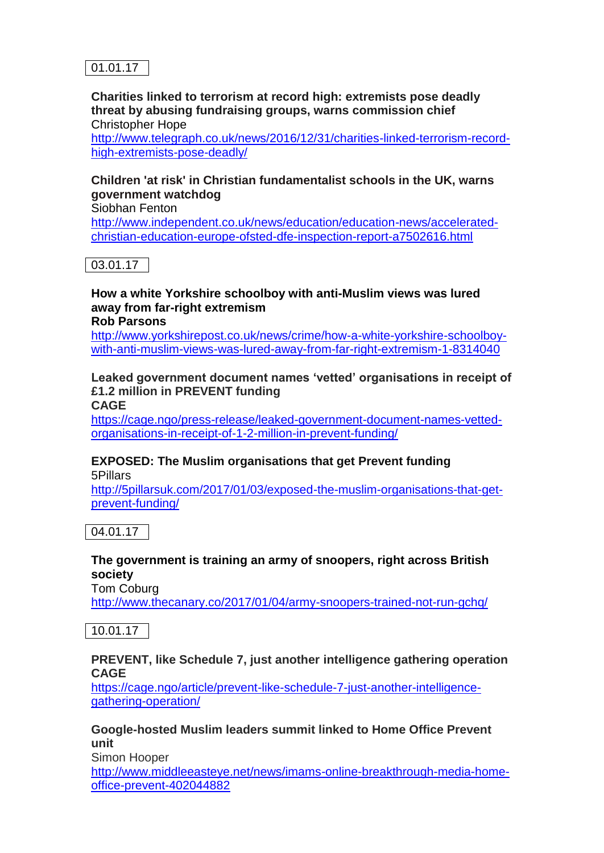

**Charities linked to terrorism at record high: extremists pose deadly threat by abusing fundraising groups, warns commission chief** Christopher Hope

[http://www.telegraph.co.uk/news/2016/12/31/charities-linked-terrorism-record](http://www.telegraph.co.uk/news/2016/12/31/charities-linked-terrorism-record-high-extremists-pose-deadly/)[high-extremists-pose-deadly/](http://www.telegraph.co.uk/news/2016/12/31/charities-linked-terrorism-record-high-extremists-pose-deadly/)

### **Children 'at risk' in Christian fundamentalist schools in the UK, warns government watchdog**

Siobhan Fenton

[http://www.independent.co.uk/news/education/education-news/accelerated](http://www.independent.co.uk/news/education/education-news/accelerated-christian-education-europe-ofsted-dfe-inspection-report-a7502616.html)[christian-education-europe-ofsted-dfe-inspection-report-a7502616.html](http://www.independent.co.uk/news/education/education-news/accelerated-christian-education-europe-ofsted-dfe-inspection-report-a7502616.html)

03.01.17

## **How a white Yorkshire schoolboy with anti-Muslim views was lured away from far-right extremism**

**Rob Parsons**

[http://www.yorkshirepost.co.uk/news/crime/how-a-white-yorkshire-schoolboy](http://www.yorkshirepost.co.uk/news/crime/how-a-white-yorkshire-schoolboy-with-anti-muslim-views-was-lured-away-from-far-right-extremism-1-8314040)[with-anti-muslim-views-was-lured-away-from-far-right-extremism-1-8314040](http://www.yorkshirepost.co.uk/news/crime/how-a-white-yorkshire-schoolboy-with-anti-muslim-views-was-lured-away-from-far-right-extremism-1-8314040)

### **Leaked government document names 'vetted' organisations in receipt of £1.2 million in PREVENT funding**

**CAGE**

[https://cage.ngo/press-release/leaked-government-document-names-vetted](https://cage.ngo/press-release/leaked-government-document-names-vetted-organisations-in-receipt-of-1-2-million-in-prevent-funding/)[organisations-in-receipt-of-1-2-million-in-prevent-funding/](https://cage.ngo/press-release/leaked-government-document-names-vetted-organisations-in-receipt-of-1-2-million-in-prevent-funding/)

#### **EXPOSED: The Muslim organisations that get Prevent funding** 5Pillars

[http://5pillarsuk.com/2017/01/03/exposed-the-muslim-organisations-that-get](http://5pillarsuk.com/2017/01/03/exposed-the-muslim-organisations-that-get-prevent-funding/)[prevent-funding/](http://5pillarsuk.com/2017/01/03/exposed-the-muslim-organisations-that-get-prevent-funding/)

04.01.17

### **The government is training an army of snoopers, right across British society**

Tom Coburg <http://www.thecanary.co/2017/01/04/army-snoopers-trained-not-run-gchq/>

10.01.17

#### **PREVENT, like Schedule 7, just another intelligence gathering operation CAGE**

[https://cage.ngo/article/prevent-like-schedule-7-just-another-intelligence](https://cage.ngo/article/prevent-like-schedule-7-just-another-intelligence-gathering-operation/)[gathering-operation/](https://cage.ngo/article/prevent-like-schedule-7-just-another-intelligence-gathering-operation/)

#### **Google-hosted Muslim leaders summit linked to Home Office Prevent unit**

Simon Hooper

[http://www.middleeasteye.net/news/imams-online-breakthrough-media-home](http://www.middleeasteye.net/news/imams-online-breakthrough-media-home-office-prevent-402044882)[office-prevent-402044882](http://www.middleeasteye.net/news/imams-online-breakthrough-media-home-office-prevent-402044882)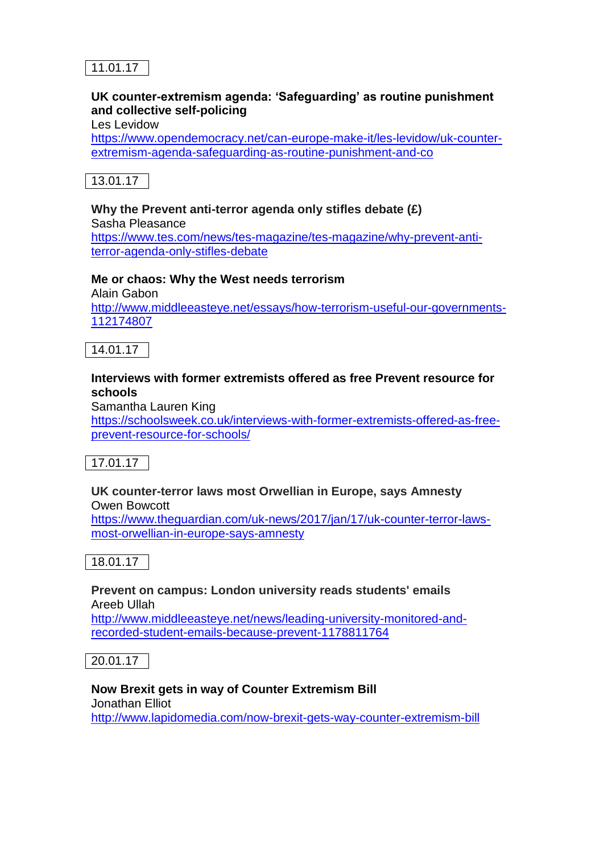

### **UK counter-extremism agenda: 'Safeguarding' as routine punishment and collective self-policing**

Les Levidow

[https://www.opendemocracy.net/can-europe-make-it/les-levidow/uk-counter](https://www.opendemocracy.net/can-europe-make-it/les-levidow/uk-counter-extremism-agenda-safeguarding-as-routine-punishment-and-co)[extremism-agenda-safeguarding-as-routine-punishment-and-co](https://www.opendemocracy.net/can-europe-make-it/les-levidow/uk-counter-extremism-agenda-safeguarding-as-routine-punishment-and-co)



#### **Why the Prevent anti-terror agenda only stifles debate (£)**

Sasha Pleasance [https://www.tes.com/news/tes-magazine/tes-magazine/why-prevent-anti](https://www.tes.com/news/tes-magazine/tes-magazine/why-prevent-anti-terror-agenda-only-stifles-debate)[terror-agenda-only-stifles-debate](https://www.tes.com/news/tes-magazine/tes-magazine/why-prevent-anti-terror-agenda-only-stifles-debate)

#### **Me or chaos: Why the West needs terrorism**

Alain Gabon [http://www.middleeasteye.net/essays/how-terrorism-useful-our-governments-](http://www.middleeasteye.net/essays/how-terrorism-useful-our-governments-112174807)[112174807](http://www.middleeasteye.net/essays/how-terrorism-useful-our-governments-112174807)

14.01.17

#### **Interviews with former extremists offered as free Prevent resource for schools**

Samantha Lauren King

[https://schoolsweek.co.uk/interviews-with-former-extremists-offered-as-free](https://schoolsweek.co.uk/interviews-with-former-extremists-offered-as-free-prevent-resource-for-schools/)[prevent-resource-for-schools/](https://schoolsweek.co.uk/interviews-with-former-extremists-offered-as-free-prevent-resource-for-schools/)

17.01.17

#### **UK counter-terror laws most Orwellian in Europe, says Amnesty** Owen Bowcott

[https://www.theguardian.com/uk-news/2017/jan/17/uk-counter-terror-laws](https://www.theguardian.com/uk-news/2017/jan/17/uk-counter-terror-laws-most-orwellian-in-europe-says-amnesty)[most-orwellian-in-europe-says-amnesty](https://www.theguardian.com/uk-news/2017/jan/17/uk-counter-terror-laws-most-orwellian-in-europe-says-amnesty)

18.01.17

#### **Prevent on campus: London university reads students' emails** Areeb Ullah

[http://www.middleeasteye.net/news/leading-university-monitored-and](http://www.middleeasteye.net/news/leading-university-monitored-and-recorded-student-emails-because-prevent-1178811764)[recorded-student-emails-because-prevent-1178811764](http://www.middleeasteye.net/news/leading-university-monitored-and-recorded-student-emails-because-prevent-1178811764)

20.01.17

#### **Now Brexit gets in way of Counter Extremism Bill** Jonathan Elliot <http://www.lapidomedia.com/now-brexit-gets-way-counter-extremism-bill>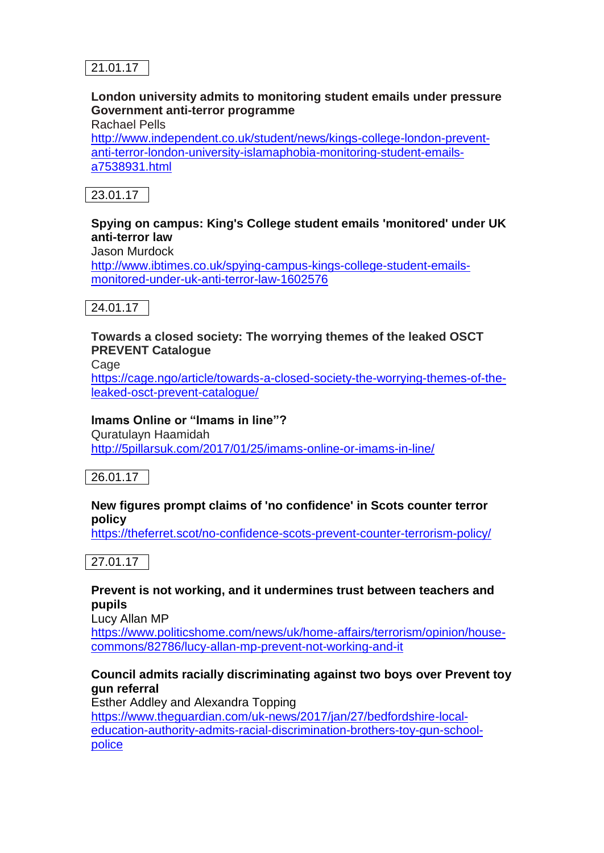

### **London university admits to monitoring student emails under pressure Government anti-terror programme**

Rachael Pells

[http://www.independent.co.uk/student/news/kings-college-london-prevent](http://www.independent.co.uk/student/news/kings-college-london-prevent-anti-terror-london-university-islamaphobia-monitoring-student-emails-a7538931.html)[anti-terror-london-university-islamaphobia-monitoring-student-emails](http://www.independent.co.uk/student/news/kings-college-london-prevent-anti-terror-london-university-islamaphobia-monitoring-student-emails-a7538931.html)[a7538931.html](http://www.independent.co.uk/student/news/kings-college-london-prevent-anti-terror-london-university-islamaphobia-monitoring-student-emails-a7538931.html)



### **Spying on campus: King's College student emails 'monitored' under UK anti-terror law**

Jason Murdock

[http://www.ibtimes.co.uk/spying-campus-kings-college-student-emails](http://www.ibtimes.co.uk/spying-campus-kings-college-student-emails-monitored-under-uk-anti-terror-law-1602576)[monitored-under-uk-anti-terror-law-1602576](http://www.ibtimes.co.uk/spying-campus-kings-college-student-emails-monitored-under-uk-anti-terror-law-1602576)



### **Towards a closed society: The worrying themes of the leaked OSCT PREVENT Catalogue**

Cage

[https://cage.ngo/article/towards-a-closed-society-the-worrying-themes-of-the](https://cage.ngo/article/towards-a-closed-society-the-worrying-themes-of-the-leaked-osct-prevent-catalogue/)[leaked-osct-prevent-catalogue/](https://cage.ngo/article/towards-a-closed-society-the-worrying-themes-of-the-leaked-osct-prevent-catalogue/)

#### **Imams Online or "Imams in line"?**

Quratulayn Haamidah <http://5pillarsuk.com/2017/01/25/imams-online-or-imams-in-line/>

26.01.17

#### **New figures prompt claims of 'no confidence' in Scots counter terror policy**

<https://theferret.scot/no-confidence-scots-prevent-counter-terrorism-policy/>



#### **Prevent is not working, and it undermines trust between teachers and pupils**

Lucy Allan MP

[https://www.politicshome.com/news/uk/home-affairs/terrorism/opinion/house](https://www.politicshome.com/news/uk/home-affairs/terrorism/opinion/house-commons/82786/lucy-allan-mp-prevent-not-working-and-it)[commons/82786/lucy-allan-mp-prevent-not-working-and-it](https://www.politicshome.com/news/uk/home-affairs/terrorism/opinion/house-commons/82786/lucy-allan-mp-prevent-not-working-and-it)

### **Council admits racially discriminating against two boys over Prevent toy gun referral**

Esther Addley and Alexandra Topping [https://www.theguardian.com/uk-news/2017/jan/27/bedfordshire-local](https://www.theguardian.com/uk-news/2017/jan/27/bedfordshire-local-education-authority-admits-racial-discrimination-brothers-toy-gun-school-police)[education-authority-admits-racial-discrimination-brothers-toy-gun-school](https://www.theguardian.com/uk-news/2017/jan/27/bedfordshire-local-education-authority-admits-racial-discrimination-brothers-toy-gun-school-police)[police](https://www.theguardian.com/uk-news/2017/jan/27/bedfordshire-local-education-authority-admits-racial-discrimination-brothers-toy-gun-school-police)